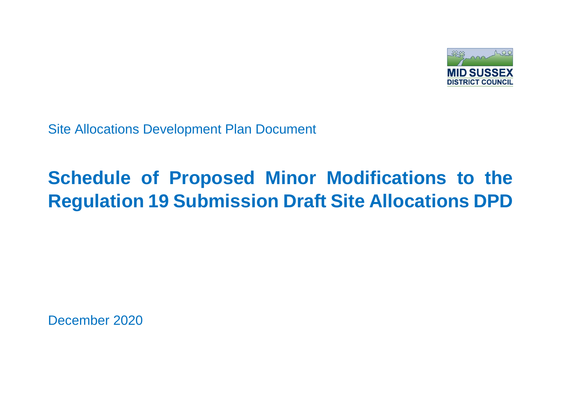

Site Allocations Development Plan Document

## **Schedule of Proposed Minor Modifications to the Regulation 19 Submission Draft Site Allocations DPD**

December 2020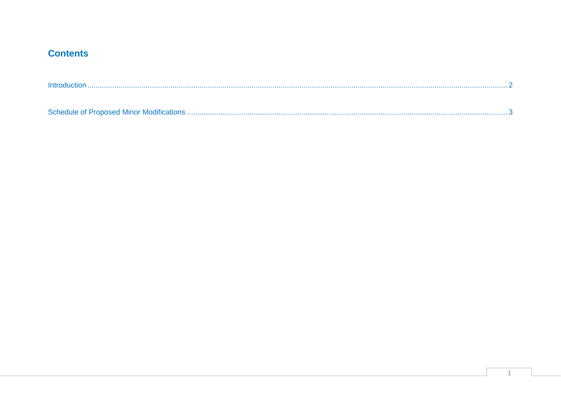## **Contents**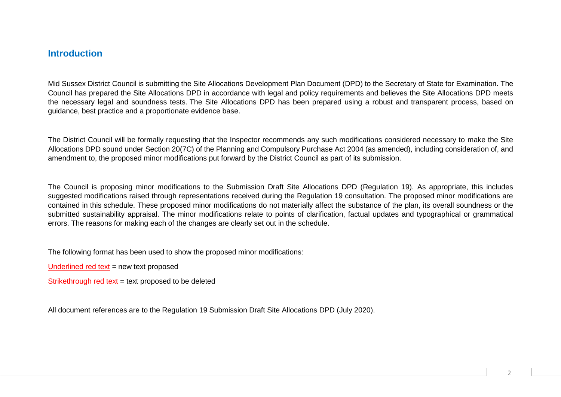## <span id="page-2-0"></span>**Introduction**

Mid Sussex District Council is submitting the Site Allocations Development Plan Document (DPD) to the Secretary of State for Examination. The Council has prepared the Site Allocations DPD in accordance with legal and policy requirements and believes the Site Allocations DPD meets the necessary legal and soundness tests. The Site Allocations DPD has been prepared using a robust and transparent process, based on guidance, best practice and a proportionate evidence base.

The District Council will be formally requesting that the Inspector recommends any such modifications considered necessary to make the Site Allocations DPD sound under Section 20(7C) of the Planning and Compulsory Purchase Act 2004 (as amended), including consideration of, and amendment to, the proposed minor modifications put forward by the District Council as part of its submission.

The Council is proposing minor modifications to the Submission Draft Site Allocations DPD (Regulation 19). As appropriate, this includes suggested modifications raised through representations received during the Regulation 19 consultation. The proposed minor modifications are contained in this schedule. These proposed minor modifications do not materially affect the substance of the plan, its overall soundness or the submitted sustainability appraisal. The minor modifications relate to points of clarification, factual updates and typographical or grammatical errors. The reasons for making each of the changes are clearly set out in the schedule.

The following format has been used to show the proposed minor modifications:

Underlined red text = new text proposed

Strikethrough red text = text proposed to be deleted

All document references are to the Regulation 19 Submission Draft Site Allocations DPD (July 2020).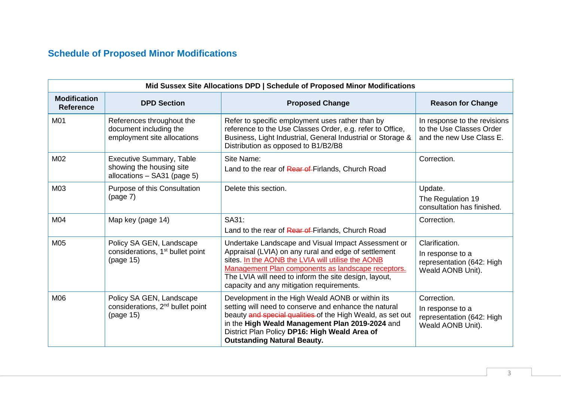## <span id="page-3-0"></span>**Schedule of Proposed Minor Modifications**

|                                         | Mid Sussex Site Allocations DPD   Schedule of Proposed Minor Modifications                 |                                                                                                                                                                                                                                                                                                                              |                                                                                      |  |
|-----------------------------------------|--------------------------------------------------------------------------------------------|------------------------------------------------------------------------------------------------------------------------------------------------------------------------------------------------------------------------------------------------------------------------------------------------------------------------------|--------------------------------------------------------------------------------------|--|
| <b>Modification</b><br><b>Reference</b> | <b>DPD Section</b>                                                                         | <b>Proposed Change</b>                                                                                                                                                                                                                                                                                                       | <b>Reason for Change</b>                                                             |  |
| M01                                     | References throughout the<br>document including the<br>employment site allocations         | Refer to specific employment uses rather than by<br>reference to the Use Classes Order, e.g. refer to Office,<br>Business, Light Industrial, General Industrial or Storage &<br>Distribution as opposed to B1/B2/B8                                                                                                          | In response to the revisions<br>to the Use Classes Order<br>and the new Use Class E. |  |
| M02                                     | <b>Executive Summary, Table</b><br>showing the housing site<br>allocations - SA31 (page 5) | Site Name:<br>Land to the rear of Rear of Firlands, Church Road                                                                                                                                                                                                                                                              | Correction.                                                                          |  |
| M03                                     | Purpose of this Consultation<br>(page 7)                                                   | Delete this section.                                                                                                                                                                                                                                                                                                         | Update.<br>The Regulation 19<br>consultation has finished.                           |  |
| M04                                     | Map key (page 14)                                                                          | SA31:<br>Land to the rear of Rear of Firlands, Church Road                                                                                                                                                                                                                                                                   | Correction.                                                                          |  |
| M05                                     | Policy SA GEN, Landscape<br>considerations, 1 <sup>st</sup> bullet point<br>(page 15)      | Undertake Landscape and Visual Impact Assessment or<br>Appraisal (LVIA) on any rural and edge of settlement<br>sites. In the AONB the LVIA will utilise the AONB<br>Management Plan components as landscape receptors.<br>The LVIA will need to inform the site design, layout,<br>capacity and any mitigation requirements. | Clarification.<br>In response to a<br>representation (642: High<br>Weald AONB Unit). |  |
| M06                                     | Policy SA GEN, Landscape<br>considerations, 2 <sup>nd</sup> bullet point<br>(page 15)      | Development in the High Weald AONB or within its<br>setting will need to conserve and enhance the natural<br>beauty and special qualities of the High Weald, as set out<br>in the High Weald Management Plan 2019-2024 and<br>District Plan Policy DP16: High Weald Area of<br><b>Outstanding Natural Beauty.</b>            | Correction.<br>In response to a<br>representation (642: High<br>Weald AONB Unit).    |  |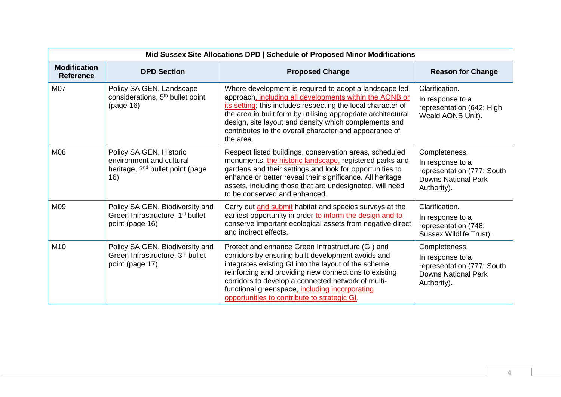|                                         | Mid Sussex Site Allocations DPD   Schedule of Proposed Minor Modifications                                 |                                                                                                                                                                                                                                                                                                                                                                                    |                                                                                                              |  |
|-----------------------------------------|------------------------------------------------------------------------------------------------------------|------------------------------------------------------------------------------------------------------------------------------------------------------------------------------------------------------------------------------------------------------------------------------------------------------------------------------------------------------------------------------------|--------------------------------------------------------------------------------------------------------------|--|
| <b>Modification</b><br><b>Reference</b> | <b>DPD Section</b>                                                                                         | <b>Proposed Change</b>                                                                                                                                                                                                                                                                                                                                                             | <b>Reason for Change</b>                                                                                     |  |
| <b>M07</b>                              | Policy SA GEN, Landscape<br>considerations, 5 <sup>th</sup> bullet point<br>(page 16)                      | Where development is required to adopt a landscape led<br>approach, including all developments within the AONB or<br>its setting; this includes respecting the local character of<br>the area in built form by utilising appropriate architectural<br>design, site layout and density which complements and<br>contributes to the overall character and appearance of<br>the area. | Clarification.<br>In response to a<br>representation (642: High<br>Weald AONB Unit).                         |  |
| <b>M08</b>                              | Policy SA GEN, Historic<br>environment and cultural<br>heritage, 2 <sup>nd</sup> bullet point (page<br>16) | Respect listed buildings, conservation areas, scheduled<br>monuments, the historic landscape, registered parks and<br>gardens and their settings and look for opportunities to<br>enhance or better reveal their significance. All heritage<br>assets, including those that are undesignated, will need<br>to be conserved and enhanced.                                           | Completeness.<br>In response to a<br>representation (777: South<br><b>Downs National Park</b><br>Authority). |  |
| M09                                     | Policy SA GEN, Biodiversity and<br>Green Infrastructure, 1 <sup>st</sup> bullet<br>point (page 16)         | Carry out and submit habitat and species surveys at the<br>earliest opportunity in order to inform the design and to<br>conserve important ecological assets from negative direct<br>and indirect effects.                                                                                                                                                                         | Clarification.<br>In response to a<br>representation (748:<br>Sussex Wildlife Trust).                        |  |
| M <sub>10</sub>                         | Policy SA GEN, Biodiversity and<br>Green Infrastructure, 3rd bullet<br>point (page 17)                     | Protect and enhance Green Infrastructure (GI) and<br>corridors by ensuring built development avoids and<br>integrates existing GI into the layout of the scheme,<br>reinforcing and providing new connections to existing<br>corridors to develop a connected network of multi-<br>functional greenspace, including incorporating<br>opportunities to contribute to strategic GI.  | Completeness.<br>In response to a<br>representation (777: South<br><b>Downs National Park</b><br>Authority). |  |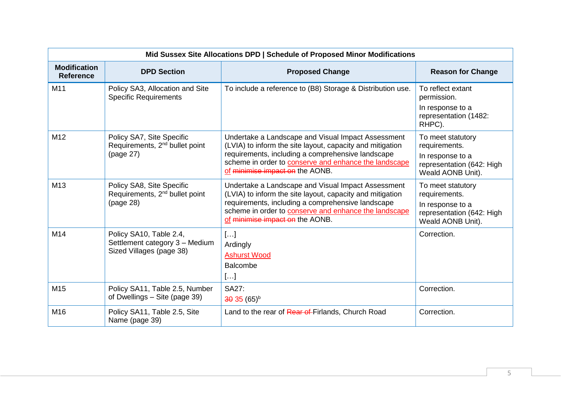|                                         | Mid Sussex Site Allocations DPD   Schedule of Proposed Minor Modifications            |                                                                                                                                                                                                                                                                         |                                                                                                          |  |
|-----------------------------------------|---------------------------------------------------------------------------------------|-------------------------------------------------------------------------------------------------------------------------------------------------------------------------------------------------------------------------------------------------------------------------|----------------------------------------------------------------------------------------------------------|--|
| <b>Modification</b><br><b>Reference</b> | <b>DPD Section</b>                                                                    | <b>Proposed Change</b>                                                                                                                                                                                                                                                  | <b>Reason for Change</b>                                                                                 |  |
| M11                                     | Policy SA3, Allocation and Site<br><b>Specific Requirements</b>                       | To include a reference to (B8) Storage & Distribution use.                                                                                                                                                                                                              | To reflect extant<br>permission.<br>In response to a<br>representation (1482:<br>RHPC).                  |  |
| M <sub>12</sub>                         | Policy SA7, Site Specific<br>Requirements, 2 <sup>nd</sup> bullet point<br>(page 27)  | Undertake a Landscape and Visual Impact Assessment<br>(LVIA) to inform the site layout, capacity and mitigation<br>requirements, including a comprehensive landscape<br>scheme in order to <b>conserve and enhance the landscape</b><br>of minimise impact on the AONB. | To meet statutory<br>requirements.<br>In response to a<br>representation (642: High<br>Weald AONB Unit). |  |
| M <sub>13</sub>                         | Policy SA8, Site Specific<br>Requirements, 2 <sup>nd</sup> bullet point<br>(page 28)  | Undertake a Landscape and Visual Impact Assessment<br>(LVIA) to inform the site layout, capacity and mitigation<br>requirements, including a comprehensive landscape<br>scheme in order to <b>conserve and enhance the landscape</b><br>of minimise impact on the AONB. | To meet statutory<br>requirements.<br>In response to a<br>representation (642: High<br>Weald AONB Unit). |  |
| M14                                     | Policy SA10, Table 2.4,<br>Settlement category 3 - Medium<br>Sized Villages (page 38) | []<br>Ardingly<br><b>Ashurst Wood</b><br>Balcombe<br>[]                                                                                                                                                                                                                 | Correction.                                                                                              |  |
| M15                                     | Policy SA11, Table 2.5, Number<br>of Dwellings - Site (page 39)                       | <b>SA27:</b><br>$30 \cdot 35 (65)^{b}$                                                                                                                                                                                                                                  | Correction.                                                                                              |  |
| M16                                     | Policy SA11, Table 2.5, Site<br>Name (page 39)                                        | Land to the rear of Rear of Firlands, Church Road                                                                                                                                                                                                                       | Correction.                                                                                              |  |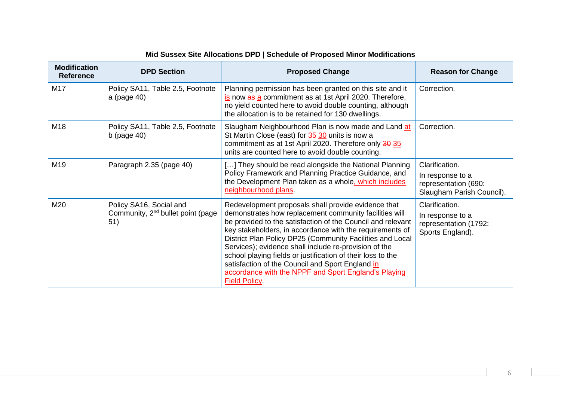|                                         | Mid Sussex Site Allocations DPD   Schedule of Proposed Minor Modifications      |                                                                                                                                                                                                                                                                                                                                                                                                                                                                                                                                                                  |                                                                                         |  |
|-----------------------------------------|---------------------------------------------------------------------------------|------------------------------------------------------------------------------------------------------------------------------------------------------------------------------------------------------------------------------------------------------------------------------------------------------------------------------------------------------------------------------------------------------------------------------------------------------------------------------------------------------------------------------------------------------------------|-----------------------------------------------------------------------------------------|--|
| <b>Modification</b><br><b>Reference</b> | <b>DPD Section</b>                                                              | <b>Proposed Change</b>                                                                                                                                                                                                                                                                                                                                                                                                                                                                                                                                           | <b>Reason for Change</b>                                                                |  |
| M17                                     | Policy SA11, Table 2.5, Footnote<br>a (page 40)                                 | Planning permission has been granted on this site and it<br>is now as a commitment as at 1st April 2020. Therefore,<br>no yield counted here to avoid double counting, although<br>the allocation is to be retained for 130 dwellings.                                                                                                                                                                                                                                                                                                                           | Correction.                                                                             |  |
| M <sub>18</sub>                         | Policy SA11, Table 2.5, Footnote<br>b (page $40$ )                              | Slaugham Neighbourhood Plan is now made and Land at<br>St Martin Close (east) for 35 30 units is now a<br>commitment as at 1st April 2020. Therefore only 30 35<br>units are counted here to avoid double counting.                                                                                                                                                                                                                                                                                                                                              | Correction.                                                                             |  |
| M19                                     | Paragraph 2.35 (page 40)                                                        | [] They should be read alongside the National Planning<br>Policy Framework and Planning Practice Guidance, and<br>the Development Plan taken as a whole, which includes<br>neighbourhood plans.                                                                                                                                                                                                                                                                                                                                                                  | Clarification.<br>In response to a<br>representation (690:<br>Slaugham Parish Council). |  |
| M20                                     | Policy SA16, Social and<br>Community, 2 <sup>nd</sup> bullet point (page<br>51) | Redevelopment proposals shall provide evidence that<br>demonstrates how replacement community facilities will<br>be provided to the satisfaction of the Council and relevant<br>key stakeholders, in accordance with the requirements of<br>District Plan Policy DP25 (Community Facilities and Local<br>Services); evidence shall include re-provision of the<br>school playing fields or justification of their loss to the<br>satisfaction of the Council and Sport England in<br>accordance with the NPPF and Sport England's Playing<br><b>Field Policy</b> | Clarification.<br>In response to a<br>representation (1792:<br>Sports England).         |  |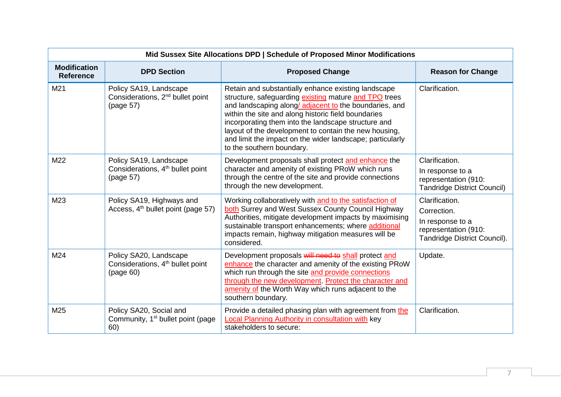|                                         | Mid Sussex Site Allocations DPD   Schedule of Proposed Minor Modifications          |                                                                                                                                                                                                                                                                                                                                                                                                                                        |                                                                                                           |  |
|-----------------------------------------|-------------------------------------------------------------------------------------|----------------------------------------------------------------------------------------------------------------------------------------------------------------------------------------------------------------------------------------------------------------------------------------------------------------------------------------------------------------------------------------------------------------------------------------|-----------------------------------------------------------------------------------------------------------|--|
| <b>Modification</b><br><b>Reference</b> | <b>DPD Section</b>                                                                  | <b>Proposed Change</b>                                                                                                                                                                                                                                                                                                                                                                                                                 | <b>Reason for Change</b>                                                                                  |  |
| M <sub>21</sub>                         | Policy SA19, Landscape<br>Considerations, 2 <sup>nd</sup> bullet point<br>(page 57) | Retain and substantially enhance existing landscape<br>structure, safeguarding existing mature and TPO trees<br>and landscaping along/adjacent to the boundaries, and<br>within the site and along historic field boundaries<br>incorporating them into the landscape structure and<br>layout of the development to contain the new housing,<br>and limit the impact on the wider landscape; particularly<br>to the southern boundary. | Clarification.                                                                                            |  |
| M22                                     | Policy SA19, Landscape<br>Considerations, 4 <sup>th</sup> bullet point<br>(page 57) | Development proposals shall protect and enhance the<br>character and amenity of existing PRoW which runs<br>through the centre of the site and provide connections<br>through the new development.                                                                                                                                                                                                                                     | Clarification.<br>In response to a<br>representation (910:<br><b>Tandridge District Council)</b>          |  |
| M23                                     | Policy SA19, Highways and<br>Access, 4 <sup>th</sup> bullet point (page 57)         | Working collaboratively with and to the satisfaction of<br>both Surrey and West Sussex County Council Highway<br>Authorities, mitigate development impacts by maximising<br>sustainable transport enhancements; where additional<br>impacts remain, highway mitigation measures will be<br>considered.                                                                                                                                 | Clarification.<br>Correction.<br>In response to a<br>representation (910:<br>Tandridge District Council). |  |
| M24                                     | Policy SA20, Landscape<br>Considerations, 4 <sup>th</sup> bullet point<br>(page 60) | Development proposals will need to shall protect and<br>enhance the character and amenity of the existing PRoW<br>which run through the site and provide connections<br>through the new development. Protect the character and<br>amenity of the Worth Way which runs adjacent to the<br>southern boundary.                                                                                                                            | Update.                                                                                                   |  |
| M25                                     | Policy SA20, Social and<br>Community, 1 <sup>st</sup> bullet point (page<br>60)     | Provide a detailed phasing plan with agreement from the<br>Local Planning Authority in consultation with key<br>stakeholders to secure:                                                                                                                                                                                                                                                                                                | Clarification.                                                                                            |  |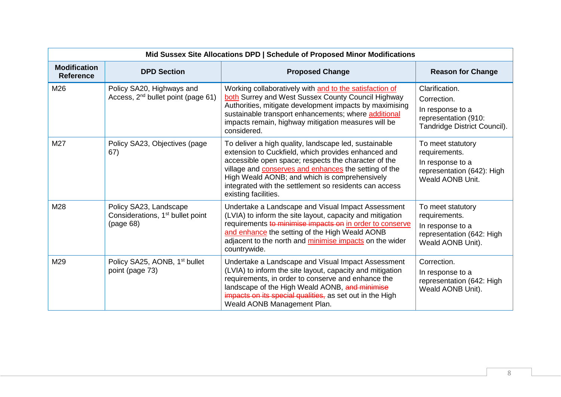|                                         | Mid Sussex Site Allocations DPD   Schedule of Proposed Minor Modifications          |                                                                                                                                                                                                                                                                                                                                                                         |                                                                                                           |  |
|-----------------------------------------|-------------------------------------------------------------------------------------|-------------------------------------------------------------------------------------------------------------------------------------------------------------------------------------------------------------------------------------------------------------------------------------------------------------------------------------------------------------------------|-----------------------------------------------------------------------------------------------------------|--|
| <b>Modification</b><br><b>Reference</b> | <b>DPD Section</b>                                                                  | <b>Proposed Change</b>                                                                                                                                                                                                                                                                                                                                                  | <b>Reason for Change</b>                                                                                  |  |
| M26                                     | Policy SA20, Highways and<br>Access, 2 <sup>nd</sup> bullet point (page 61)         | Working collaboratively with and to the satisfaction of<br>both Surrey and West Sussex County Council Highway<br>Authorities, mitigate development impacts by maximising<br>sustainable transport enhancements; where additional<br>impacts remain, highway mitigation measures will be<br>considered.                                                                  | Clarification.<br>Correction.<br>In response to a<br>representation (910:<br>Tandridge District Council). |  |
| M27                                     | Policy SA23, Objectives (page<br>67)                                                | To deliver a high quality, landscape led, sustainable<br>extension to Cuckfield, which provides enhanced and<br>accessible open space; respects the character of the<br>village and <b>conserves and enhances</b> the setting of the<br>High Weald AONB; and which is comprehensively<br>integrated with the settlement so residents can access<br>existing facilities. | To meet statutory<br>requirements.<br>In response to a<br>representation (642): High<br>Weald AONB Unit.  |  |
| M28                                     | Policy SA23, Landscape<br>Considerations, 1 <sup>st</sup> bullet point<br>(page 68) | Undertake a Landscape and Visual Impact Assessment<br>(LVIA) to inform the site layout, capacity and mitigation<br>requirements to minimise impacts on in order to conserve<br>and enhance the setting of the High Weald AONB<br>adjacent to the north and minimise impacts on the wider<br>countrywide.                                                                | To meet statutory<br>requirements.<br>In response to a<br>representation (642: High<br>Weald AONB Unit).  |  |
| M29                                     | Policy SA25, AONB, 1 <sup>st</sup> bullet<br>point (page 73)                        | Undertake a Landscape and Visual Impact Assessment<br>(LVIA) to inform the site layout, capacity and mitigation<br>requirements, in order to conserve and enhance the<br>landscape of the High Weald AONB, and minimise<br>impacts on its special qualities, as set out in the High<br>Weald AONB Management Plan.                                                      | Correction.<br>In response to a<br>representation (642: High<br>Weald AONB Unit).                         |  |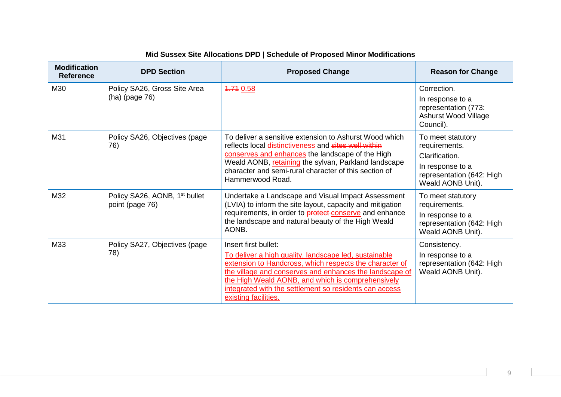| Mid Sussex Site Allocations DPD   Schedule of Proposed Minor Modifications |                                                              |                                                                                                                                                                                                                                                                                                                                            |                                                                                                                            |
|----------------------------------------------------------------------------|--------------------------------------------------------------|--------------------------------------------------------------------------------------------------------------------------------------------------------------------------------------------------------------------------------------------------------------------------------------------------------------------------------------------|----------------------------------------------------------------------------------------------------------------------------|
| <b>Modification</b><br><b>Reference</b>                                    | <b>DPD Section</b>                                           | <b>Proposed Change</b>                                                                                                                                                                                                                                                                                                                     | <b>Reason for Change</b>                                                                                                   |
| M30                                                                        | Policy SA26, Gross Site Area<br>$(ha)$ (page 76)             | 4.74 0.58                                                                                                                                                                                                                                                                                                                                  | Correction.<br>In response to a<br>representation (773:<br><b>Ashurst Wood Village</b><br>Council).                        |
| M31                                                                        | Policy SA26, Objectives (page<br>76)                         | To deliver a sensitive extension to Ashurst Wood which<br>reflects local distinctiveness and sites well within<br>conserves and enhances the landscape of the High<br>Weald AONB, retaining the sylvan, Parkland landscape<br>character and semi-rural character of this section of<br>Hammerwood Road.                                    | To meet statutory<br>requirements.<br>Clarification.<br>In response to a<br>representation (642: High<br>Weald AONB Unit). |
| M32                                                                        | Policy SA26, AONB, 1 <sup>st</sup> bullet<br>point (page 76) | Undertake a Landscape and Visual Impact Assessment<br>(LVIA) to inform the site layout, capacity and mitigation<br>requirements, in order to <b>protect</b> conserve and enhance<br>the landscape and natural beauty of the High Weald<br>AONB.                                                                                            | To meet statutory<br>requirements.<br>In response to a<br>representation (642: High<br>Weald AONB Unit).                   |
| M33                                                                        | Policy SA27, Objectives (page<br>78)                         | Insert first bullet:<br>To deliver a high quality, landscape led, sustainable<br>extension to Handcross, which respects the character of<br>the village and conserves and enhances the landscape of<br>the High Weald AONB, and which is comprehensively<br>integrated with the settlement so residents can access<br>existing facilities. | Consistency.<br>In response to a<br>representation (642: High<br>Weald AONB Unit).                                         |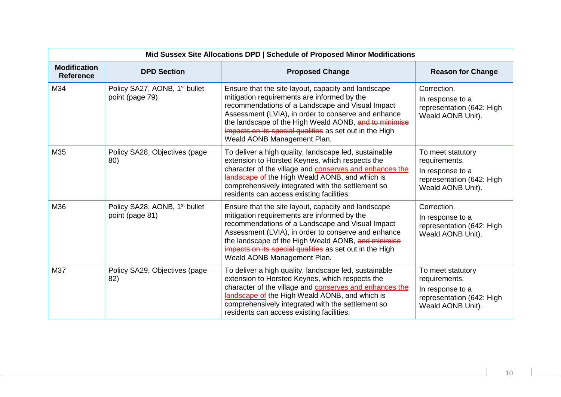|                                         | Mid Sussex Site Allocations DPD   Schedule of Proposed Minor Modifications |                                                                                                                                                                                                                                                                                                                                                                  |                                                                                                          |  |
|-----------------------------------------|----------------------------------------------------------------------------|------------------------------------------------------------------------------------------------------------------------------------------------------------------------------------------------------------------------------------------------------------------------------------------------------------------------------------------------------------------|----------------------------------------------------------------------------------------------------------|--|
| <b>Modification</b><br><b>Reference</b> | <b>DPD Section</b>                                                         | <b>Proposed Change</b>                                                                                                                                                                                                                                                                                                                                           | <b>Reason for Change</b>                                                                                 |  |
| M34                                     | Policy SA27, AONB, 1 <sup>st</sup> bullet<br>point (page 79)               | Ensure that the site layout, capacity and landscape<br>mitigation requirements are informed by the<br>recommendations of a Landscape and Visual Impact<br>Assessment (LVIA), in order to conserve and enhance<br>the landscape of the High Weald AONB, and to minimise<br>impacts on its special qualities as set out in the High<br>Weald AONB Management Plan. | Correction.<br>In response to a<br>representation (642: High<br>Weald AONB Unit).                        |  |
| M35                                     | Policy SA28, Objectives (page)<br>80)                                      | To deliver a high quality, landscape led, sustainable<br>extension to Horsted Keynes, which respects the<br>character of the village and <b>conserves and enhances the</b><br>landscape of the High Weald AONB, and which is<br>comprehensively integrated with the settlement so<br>residents can access existing facilities.                                   | To meet statutory<br>requirements.<br>In response to a<br>representation (642: High<br>Weald AONB Unit). |  |
| M36                                     | Policy SA28, AONB, 1 <sup>st</sup> bullet<br>point (page 81)               | Ensure that the site layout, capacity and landscape<br>mitigation requirements are informed by the<br>recommendations of a Landscape and Visual Impact<br>Assessment (LVIA), in order to conserve and enhance<br>the landscape of the High Weald AONB, and minimise<br>impacts on its special qualities as set out in the High<br>Weald AONB Management Plan.    | Correction.<br>In response to a<br>representation (642: High<br>Weald AONB Unit).                        |  |
| M37                                     | Policy SA29, Objectives (page<br>82)                                       | To deliver a high quality, landscape led, sustainable<br>extension to Horsted Keynes, which respects the<br>character of the village and <b>conserves and enhances the</b><br>landscape of the High Weald AONB, and which is<br>comprehensively integrated with the settlement so<br>residents can access existing facilities.                                   | To meet statutory<br>requirements.<br>In response to a<br>representation (642: High<br>Weald AONB Unit). |  |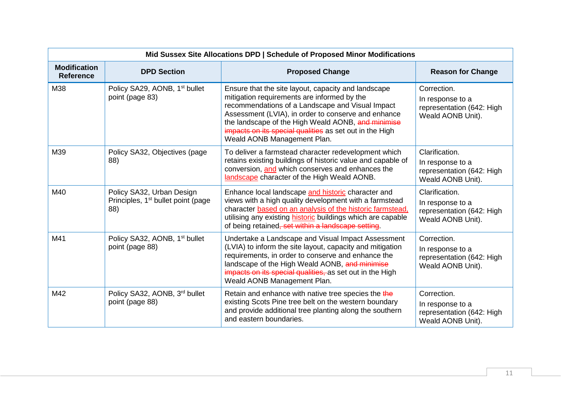|                                         | Mid Sussex Site Allocations DPD   Schedule of Proposed Minor Modifications         |                                                                                                                                                                                                                                                                                                                                                               |                                                                                      |  |
|-----------------------------------------|------------------------------------------------------------------------------------|---------------------------------------------------------------------------------------------------------------------------------------------------------------------------------------------------------------------------------------------------------------------------------------------------------------------------------------------------------------|--------------------------------------------------------------------------------------|--|
| <b>Modification</b><br><b>Reference</b> | <b>DPD Section</b>                                                                 | <b>Proposed Change</b>                                                                                                                                                                                                                                                                                                                                        | <b>Reason for Change</b>                                                             |  |
| M38                                     | Policy SA29, AONB, 1 <sup>st</sup> bullet<br>point (page 83)                       | Ensure that the site layout, capacity and landscape<br>mitigation requirements are informed by the<br>recommendations of a Landscape and Visual Impact<br>Assessment (LVIA), in order to conserve and enhance<br>the landscape of the High Weald AONB, and minimise<br>impacts on its special qualities as set out in the High<br>Weald AONB Management Plan. | Correction.<br>In response to a<br>representation (642: High<br>Weald AONB Unit).    |  |
| M39                                     | Policy SA32, Objectives (page<br>88)                                               | To deliver a farmstead character redevelopment which<br>retains existing buildings of historic value and capable of<br>conversion, and which conserves and enhances the<br>landscape character of the High Weald AONB.                                                                                                                                        | Clarification.<br>In response to a<br>representation (642: High<br>Weald AONB Unit). |  |
| M40                                     | Policy SA32, Urban Design<br>Principles, 1 <sup>st</sup> bullet point (page<br>88) | Enhance local landscape and historic character and<br>views with a high quality development with a farmstead<br>character based on an analysis of the historic farmstead,<br>utilising any existing historic buildings which are capable<br>of being retained, set within a landscape setting.                                                                | Clarification.<br>In response to a<br>representation (642: High<br>Weald AONB Unit). |  |
| M41                                     | Policy SA32, AONB, 1 <sup>st</sup> bullet<br>point (page 88)                       | Undertake a Landscape and Visual Impact Assessment<br>(LVIA) to inform the site layout, capacity and mitigation<br>requirements, in order to conserve and enhance the<br>landscape of the High Weald AONB, and minimise<br>impacts on its special qualities, as set out in the High<br>Weald AONB Management Plan.                                            | Correction.<br>In response to a<br>representation (642: High<br>Weald AONB Unit).    |  |
| M42                                     | Policy SA32, AONB, 3rd bullet<br>point (page 88)                                   | Retain and enhance with native tree species the the<br>existing Scots Pine tree belt on the western boundary<br>and provide additional tree planting along the southern<br>and eastern boundaries.                                                                                                                                                            | Correction.<br>In response to a<br>representation (642: High<br>Weald AONB Unit).    |  |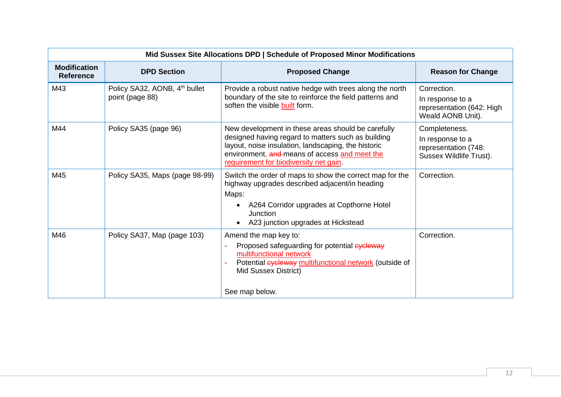|                                         | Mid Sussex Site Allocations DPD   Schedule of Proposed Minor Modifications |                                                                                                                                                                                                                                                            |                                                                                      |  |
|-----------------------------------------|----------------------------------------------------------------------------|------------------------------------------------------------------------------------------------------------------------------------------------------------------------------------------------------------------------------------------------------------|--------------------------------------------------------------------------------------|--|
| <b>Modification</b><br><b>Reference</b> | <b>DPD Section</b>                                                         | <b>Proposed Change</b>                                                                                                                                                                                                                                     | <b>Reason for Change</b>                                                             |  |
| M43                                     | Policy SA32, AONB, 4 <sup>th</sup> bullet<br>point (page 88)               | Provide a robust native hedge with trees along the north<br>boundary of the site to reinforce the field patterns and<br>soften the visible built form.                                                                                                     | Correction.<br>In response to a<br>representation (642: High<br>Weald AONB Unit).    |  |
| M44                                     | Policy SA35 (page 96)                                                      | New development in these areas should be carefully<br>designed having regard to matters such as building<br>layout, noise insulation, landscaping, the historic<br>environment, and means of access and meet the<br>requirement for biodiversity net gain. | Completeness.<br>In response to a<br>representation (748:<br>Sussex Wildlife Trust). |  |
| M45                                     | Policy SA35, Maps (page 98-99)                                             | Switch the order of maps to show the correct map for the<br>highway upgrades described adjacent/in heading<br>Maps:<br>A264 Corridor upgrades at Copthorne Hotel<br>Junction<br>A23 junction upgrades at Hickstead                                         | Correction.                                                                          |  |
| M46                                     | Policy SA37, Map (page 103)                                                | Amend the map key to:<br>Proposed safeguarding for potential eyeleway<br>multifunctional network<br>Potential cycleway multifunctional network (outside of<br>Mid Sussex District)<br>See map below.                                                       | Correction.                                                                          |  |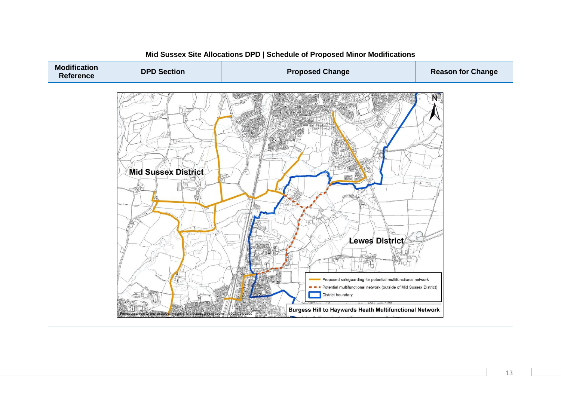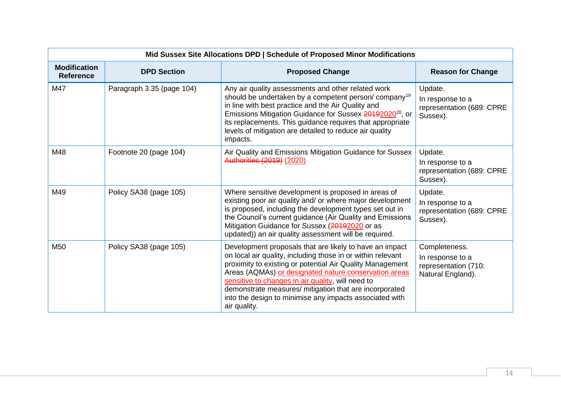| Mid Sussex Site Allocations DPD   Schedule of Proposed Minor Modifications |                           |                                                                                                                                                                                                                                                                                                                                                                                                                                        |                                                                                |  |  |  |
|----------------------------------------------------------------------------|---------------------------|----------------------------------------------------------------------------------------------------------------------------------------------------------------------------------------------------------------------------------------------------------------------------------------------------------------------------------------------------------------------------------------------------------------------------------------|--------------------------------------------------------------------------------|--|--|--|
| <b>Modification</b><br><b>Reference</b>                                    | <b>DPD Section</b>        | <b>Proposed Change</b>                                                                                                                                                                                                                                                                                                                                                                                                                 | <b>Reason for Change</b>                                                       |  |  |  |
| M47                                                                        | Paragraph 3.35 (page 104) | Any air quality assessments and other related work<br>should be undertaken by a competent person/company <sup>19</sup><br>in line with best practice and the Air Quality and<br>Emissions Mitigation Guidance for Sussex 20192020 <sup>20</sup> , or<br>its replacements. This guidance requires that appropriate<br>levels of mitigation are detailed to reduce air quality<br>impacts.                                               | Update.<br>In response to a<br>representation (689: CPRE<br>Sussex).           |  |  |  |
| M48                                                                        | Footnote 20 (page 104)    | Air Quality and Emissions Mitigation Guidance for Sussex<br>Authorities (2019) (2020)                                                                                                                                                                                                                                                                                                                                                  | Update.<br>In response to a<br>representation (689: CPRE<br>Sussex).           |  |  |  |
| M49                                                                        | Policy SA38 (page 105)    | Where sensitive development is proposed in areas of<br>existing poor air quality and/ or where major development<br>is proposed, including the development types set out in<br>the Council's current guidance (Air Quality and Emissions<br>Mitigation Guidance for Sussex (20192020 or as<br>updated)) an air quality assessment will be required.                                                                                    | Update.<br>In response to a<br>representation (689: CPRE<br>Sussex).           |  |  |  |
| M <sub>50</sub>                                                            | Policy SA38 (page 105)    | Development proposals that are likely to have an impact<br>on local air quality, including those in or within relevant<br>proximity to existing or potential Air Quality Management<br>Areas (AQMAs) or designated nature conservation areas<br>sensitive to changes in air quality, will need to<br>demonstrate measures/ mitigation that are incorporated<br>into the design to minimise any impacts associated with<br>air quality. | Completeness.<br>In response to a<br>representation (710:<br>Natural England). |  |  |  |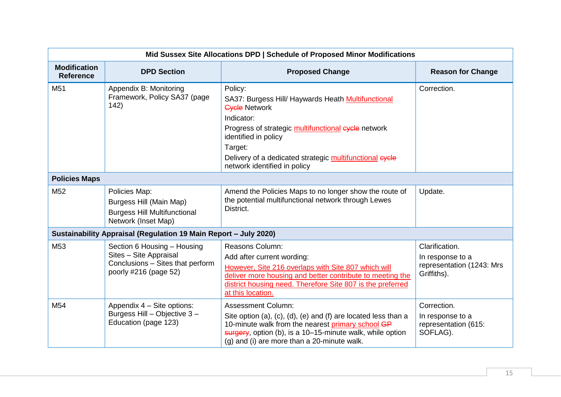| Mid Sussex Site Allocations DPD   Schedule of Proposed Minor Modifications |                                                                                                                    |                                                                                                                                                                                                                                                                                          |                                                                                |  |  |  |
|----------------------------------------------------------------------------|--------------------------------------------------------------------------------------------------------------------|------------------------------------------------------------------------------------------------------------------------------------------------------------------------------------------------------------------------------------------------------------------------------------------|--------------------------------------------------------------------------------|--|--|--|
| <b>Modification</b><br><b>Reference</b>                                    | <b>DPD Section</b>                                                                                                 | <b>Proposed Change</b>                                                                                                                                                                                                                                                                   | <b>Reason for Change</b>                                                       |  |  |  |
| M <sub>51</sub>                                                            | Appendix B: Monitoring<br>Framework, Policy SA37 (page<br>142)                                                     | Policy:<br>SA37: Burgess Hill/ Haywards Heath Multifunctional<br><b>Cycle Network</b><br>Indicator:<br>Progress of strategic multifunctional eyele network<br>identified in policy<br>Target:<br>Delivery of a dedicated strategic multifunctional eycle<br>network identified in policy | Correction.                                                                    |  |  |  |
| <b>Policies Maps</b>                                                       |                                                                                                                    |                                                                                                                                                                                                                                                                                          |                                                                                |  |  |  |
| M <sub>52</sub>                                                            | Policies Map:<br>Burgess Hill (Main Map)<br><b>Burgess Hill Multifunctional</b><br>Network (Inset Map)             | Amend the Policies Maps to no longer show the route of<br>the potential multifunctional network through Lewes<br>District.                                                                                                                                                               | Update.                                                                        |  |  |  |
| Sustainability Appraisal (Regulation 19 Main Report - July 2020)           |                                                                                                                    |                                                                                                                                                                                                                                                                                          |                                                                                |  |  |  |
| M <sub>53</sub>                                                            | Section 6 Housing - Housing<br>Sites - Site Appraisal<br>Conclusions - Sites that perform<br>poorly #216 (page 52) | <b>Reasons Column:</b><br>Add after current wording:<br>However, Site 216 overlaps with Site 807 which will<br>deliver more housing and better contribute to meeting the<br>district housing need. Therefore Site 807 is the preferred<br>at this location.                              | Clarification.<br>In response to a<br>representation (1243: Mrs<br>Griffiths). |  |  |  |
| M <sub>54</sub>                                                            | Appendix 4 - Site options:<br>Burgess Hill - Objective 3 -<br>Education (page 123)                                 | <b>Assessment Column:</b><br>Site option (a), (c), (d), (e) and (f) are located less than a<br>10-minute walk from the nearest primary school GP<br>surgery, option (b), is a 10-15-minute walk, while option<br>(g) and (i) are more than a 20-minute walk.                             | Correction.<br>In response to a<br>representation (615:<br>SOFLAG).            |  |  |  |